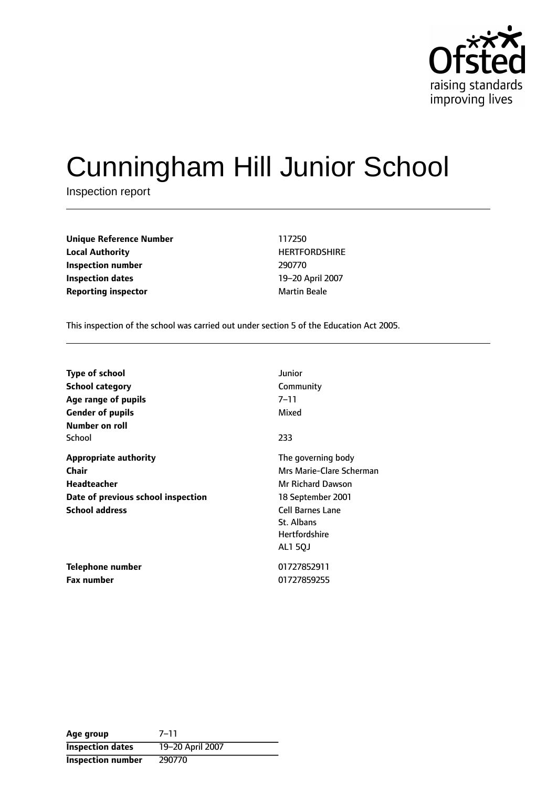

# Cunningham Hill Junior School

Inspection report

**Unique Reference Number** 117250 **Local Authority HERTFORDSHIRE Inspection number** 290770 **Inspection dates** 19-20 April 2007 **Reporting inspector and a structure of the Martin Beale** 

This inspection of the school was carried out under section 5 of the Education Act 2005.

| <b>Type of school</b>              | Junior                   |
|------------------------------------|--------------------------|
| <b>School category</b>             | Community                |
| Age range of pupils                | 7–11                     |
| <b>Gender of pupils</b>            | Mixed                    |
| Number on roll                     |                          |
| School                             | 233                      |
| <b>Appropriate authority</b>       | The governing body       |
| Chair                              | Mrs Marie-Clare Scherman |
| <b>Headteacher</b>                 | Mr Richard Dawson        |
| Date of previous school inspection | 18 September 2001        |
| <b>School address</b>              | <b>Cell Barnes Lane</b>  |
|                                    | St. Albans               |
|                                    | <b>Hertfordshire</b>     |
|                                    | <b>AL1 50J</b>           |
| Telephone number                   | 01727852911              |
| <b>Fax number</b>                  | 01727859255              |

| Age group                | $7 - 11$         |
|--------------------------|------------------|
| <b>Inspection dates</b>  | 19-20 April 2007 |
| <b>Inspection number</b> | 290770           |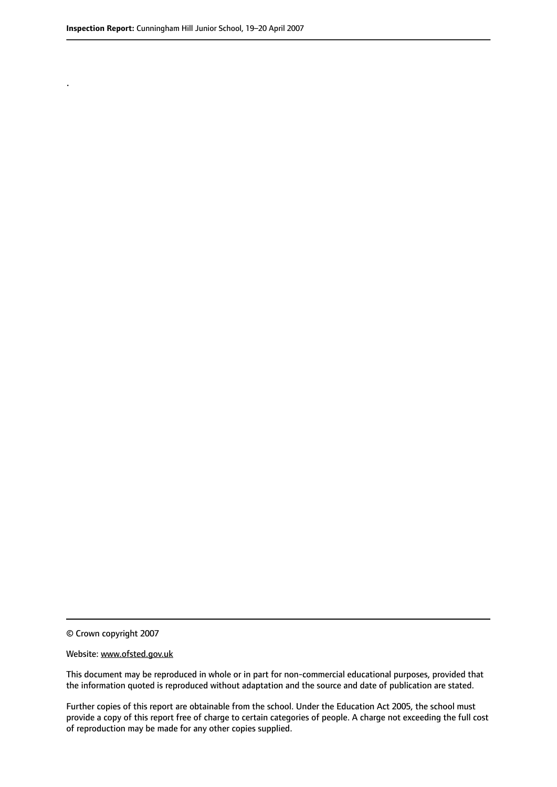.

© Crown copyright 2007

#### Website: www.ofsted.gov.uk

This document may be reproduced in whole or in part for non-commercial educational purposes, provided that the information quoted is reproduced without adaptation and the source and date of publication are stated.

Further copies of this report are obtainable from the school. Under the Education Act 2005, the school must provide a copy of this report free of charge to certain categories of people. A charge not exceeding the full cost of reproduction may be made for any other copies supplied.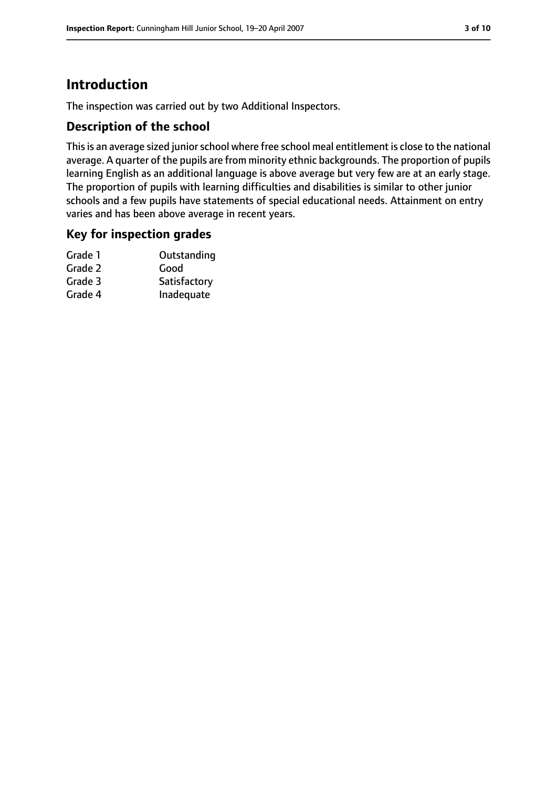# **Introduction**

The inspection was carried out by two Additional Inspectors.

### **Description of the school**

This is an average sized junior school where free school meal entitlement is close to the national average. A quarter of the pupils are from minority ethnic backgrounds. The proportion of pupils learning English as an additional language is above average but very few are at an early stage. The proportion of pupils with learning difficulties and disabilities is similar to other junior schools and a few pupils have statements of special educational needs. Attainment on entry varies and has been above average in recent years.

#### **Key for inspection grades**

| Outstanding  |
|--------------|
| Good         |
| Satisfactory |
| Inadequate   |
|              |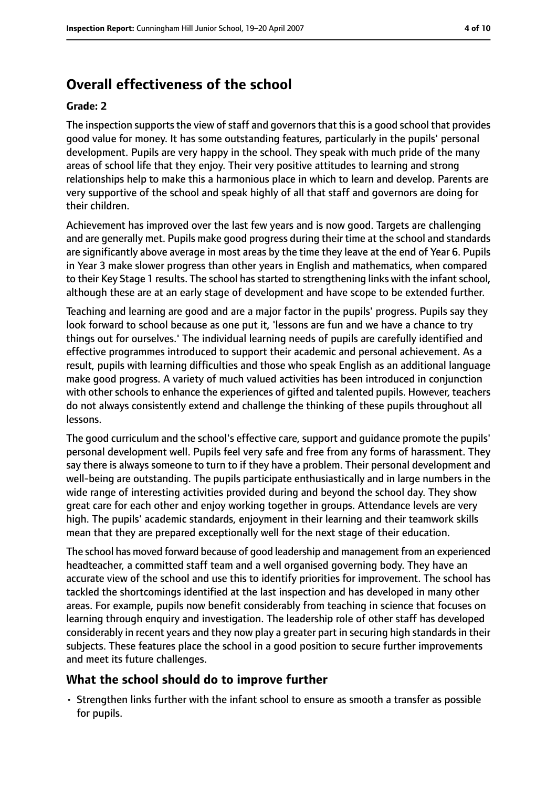# **Overall effectiveness of the school**

#### **Grade: 2**

The inspection supports the view of staff and governors that this is a good school that provides good value for money. It has some outstanding features, particularly in the pupils' personal development. Pupils are very happy in the school. They speak with much pride of the many areas of school life that they enjoy. Their very positive attitudes to learning and strong relationships help to make this a harmonious place in which to learn and develop. Parents are very supportive of the school and speak highly of all that staff and governors are doing for their children.

Achievement has improved over the last few years and is now good. Targets are challenging and are generally met. Pupils make good progress during their time at the school and standards are significantly above average in most areas by the time they leave at the end of Year 6. Pupils in Year 3 make slower progress than other years in English and mathematics, when compared to their Key Stage 1 results. The school has started to strengthening links with the infant school, although these are at an early stage of development and have scope to be extended further.

Teaching and learning are good and are a major factor in the pupils' progress. Pupils say they look forward to school because as one put it, 'lessons are fun and we have a chance to try things out for ourselves.' The individual learning needs of pupils are carefully identified and effective programmes introduced to support their academic and personal achievement. As a result, pupils with learning difficulties and those who speak English as an additional language make good progress. A variety of much valued activities has been introduced in conjunction with other schools to enhance the experiences of gifted and talented pupils. However, teachers do not always consistently extend and challenge the thinking of these pupils throughout all lessons.

The good curriculum and the school's effective care, support and guidance promote the pupils' personal development well. Pupils feel very safe and free from any forms of harassment. They say there is always someone to turn to if they have a problem. Their personal development and well-being are outstanding. The pupils participate enthusiastically and in large numbers in the wide range of interesting activities provided during and beyond the school day. They show great care for each other and enjoy working together in groups. Attendance levels are very high. The pupils' academic standards, enjoyment in their learning and their teamwork skills mean that they are prepared exceptionally well for the next stage of their education.

The school has moved forward because of good leadership and management from an experienced headteacher, a committed staff team and a well organised governing body. They have an accurate view of the school and use this to identify priorities for improvement. The school has tackled the shortcomings identified at the last inspection and has developed in many other areas. For example, pupils now benefit considerably from teaching in science that focuses on learning through enquiry and investigation. The leadership role of other staff has developed considerably in recent years and they now play a greater part in securing high standards in their subjects. These features place the school in a good position to secure further improvements and meet its future challenges.

#### **What the school should do to improve further**

• Strengthen links further with the infant school to ensure as smooth a transfer as possible for pupils.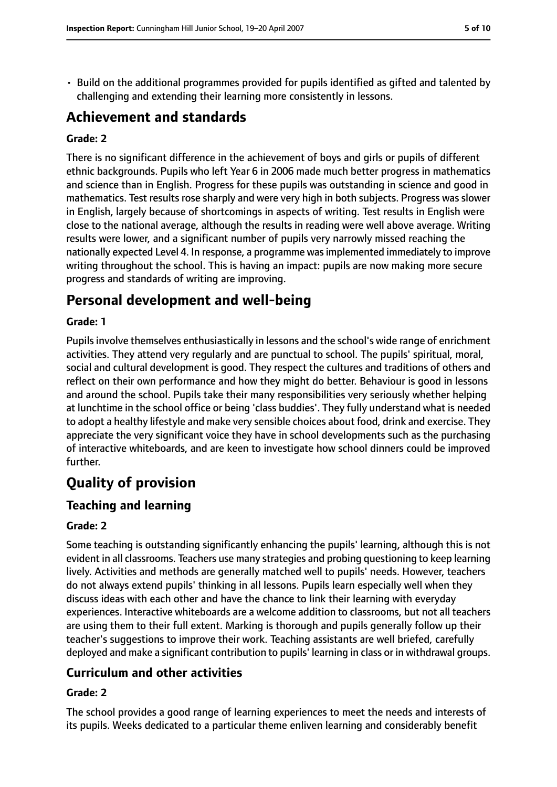• Build on the additional programmes provided for pupils identified as gifted and talented by challenging and extending their learning more consistently in lessons.

## **Achievement and standards**

#### **Grade: 2**

There is no significant difference in the achievement of boys and girls or pupils of different ethnic backgrounds. Pupils who left Year 6 in 2006 made much better progress in mathematics and science than in English. Progress for these pupils was outstanding in science and good in mathematics. Test results rose sharply and were very high in both subjects. Progress was slower in English, largely because of shortcomings in aspects of writing. Test results in English were close to the national average, although the results in reading were well above average. Writing results were lower, and a significant number of pupils very narrowly missed reaching the nationally expected Level 4. In response, a programme wasimplemented immediately to improve writing throughout the school. This is having an impact: pupils are now making more secure progress and standards of writing are improving.

## **Personal development and well-being**

#### **Grade: 1**

Pupils involve themselves enthusiastically in lessons and the school's wide range of enrichment activities. They attend very regularly and are punctual to school. The pupils' spiritual, moral, social and cultural development is good. They respect the cultures and traditions of others and reflect on their own performance and how they might do better. Behaviour is good in lessons and around the school. Pupils take their many responsibilities very seriously whether helping at lunchtime in the school office or being 'class buddies'. They fully understand what is needed to adopt a healthy lifestyle and make very sensible choices about food, drink and exercise. They appreciate the very significant voice they have in school developments such as the purchasing of interactive whiteboards, and are keen to investigate how school dinners could be improved further.

# **Quality of provision**

## **Teaching and learning**

#### **Grade: 2**

Some teaching is outstanding significantly enhancing the pupils' learning, although this is not evident in all classrooms. Teachers use many strategies and probing questioning to keep learning lively. Activities and methods are generally matched well to pupils' needs. However, teachers do not always extend pupils' thinking in all lessons. Pupils learn especially well when they discuss ideas with each other and have the chance to link their learning with everyday experiences. Interactive whiteboards are a welcome addition to classrooms, but not all teachers are using them to their full extent. Marking is thorough and pupils generally follow up their teacher's suggestions to improve their work. Teaching assistants are well briefed, carefully deployed and make a significant contribution to pupils' learning in class or in withdrawal groups.

#### **Curriculum and other activities**

#### **Grade: 2**

The school provides a good range of learning experiences to meet the needs and interests of its pupils. Weeks dedicated to a particular theme enliven learning and considerably benefit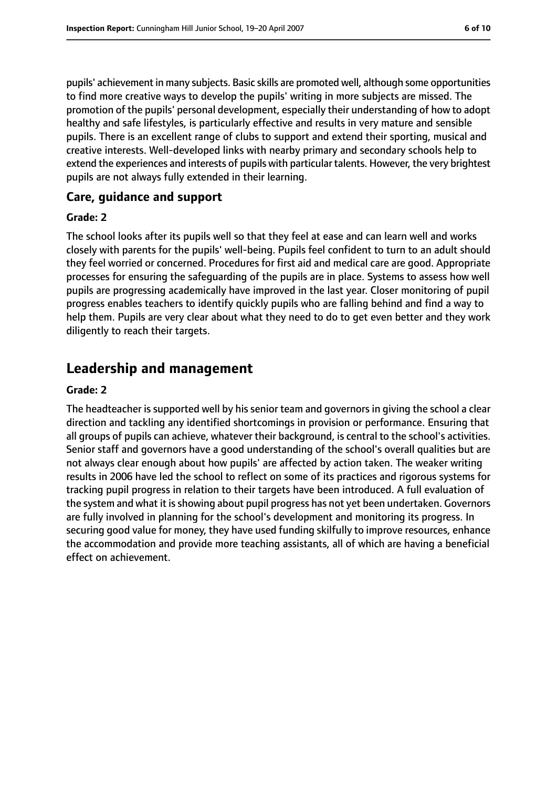pupils' achievement in many subjects. Basic skills are promoted well, although some opportunities to find more creative ways to develop the pupils' writing in more subjects are missed. The promotion of the pupils' personal development, especially their understanding of how to adopt healthy and safe lifestyles, is particularly effective and results in very mature and sensible pupils. There is an excellent range of clubs to support and extend their sporting, musical and creative interests. Well-developed links with nearby primary and secondary schools help to extend the experiences and interests of pupils with particular talents. However, the very brightest pupils are not always fully extended in their learning.

#### **Care, guidance and support**

#### **Grade: 2**

The school looks after its pupils well so that they feel at ease and can learn well and works closely with parents for the pupils' well-being. Pupils feel confident to turn to an adult should they feel worried or concerned. Procedures for first aid and medical care are good. Appropriate processes for ensuring the safeguarding of the pupils are in place. Systems to assess how well pupils are progressing academically have improved in the last year. Closer monitoring of pupil progress enables teachers to identify quickly pupils who are falling behind and find a way to help them. Pupils are very clear about what they need to do to get even better and they work diligently to reach their targets.

## **Leadership and management**

#### **Grade: 2**

The headteacher is supported well by his senior team and governors in giving the school a clear direction and tackling any identified shortcomings in provision or performance. Ensuring that all groups of pupils can achieve, whatever their background, is central to the school's activities. Senior staff and governors have a good understanding of the school's overall qualities but are not always clear enough about how pupils' are affected by action taken. The weaker writing results in 2006 have led the school to reflect on some of its practices and rigorous systems for tracking pupil progress in relation to their targets have been introduced. A full evaluation of the system and what it is showing about pupil progress has not yet been undertaken. Governors are fully involved in planning for the school's development and monitoring its progress. In securing good value for money, they have used funding skilfully to improve resources, enhance the accommodation and provide more teaching assistants, all of which are having a beneficial effect on achievement.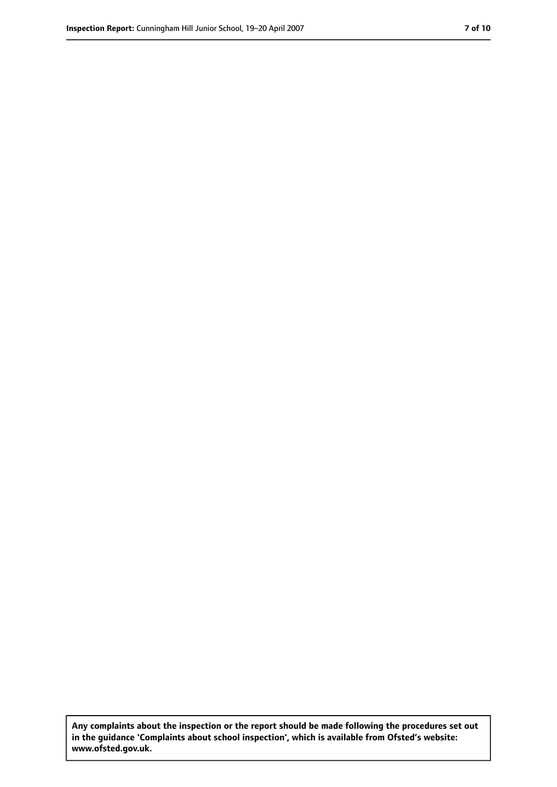**Any complaints about the inspection or the report should be made following the procedures set out in the guidance 'Complaints about school inspection', which is available from Ofsted's website: www.ofsted.gov.uk.**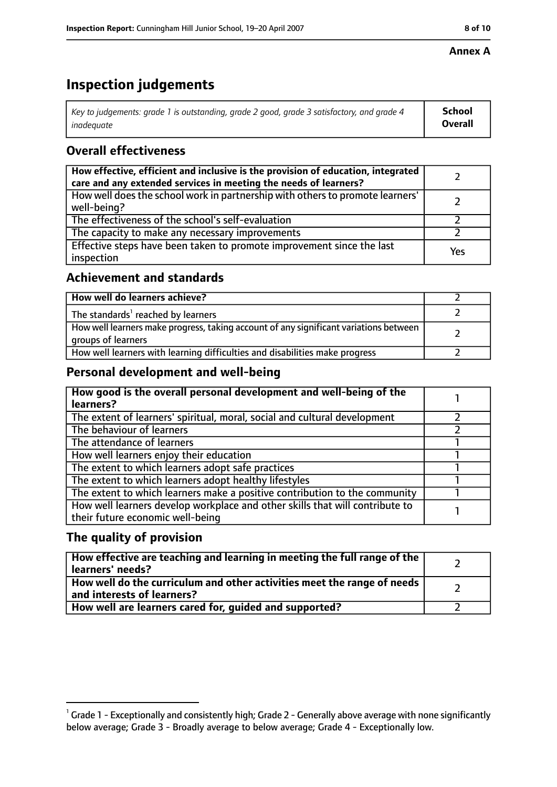#### **Annex A**

# **Inspection judgements**

| Key to judgements: grade 1 is outstanding, grade 2 good, grade 3 satisfactory, and grade 4 $\,$ | <b>School</b>  |
|-------------------------------------------------------------------------------------------------|----------------|
| inadequate                                                                                      | <b>Overall</b> |

## **Overall effectiveness**

| How effective, efficient and inclusive is the provision of education, integrated<br>care and any extended services in meeting the needs of learners? |     |
|------------------------------------------------------------------------------------------------------------------------------------------------------|-----|
| How well does the school work in partnership with others to promote learners'<br>well-being?                                                         |     |
| The effectiveness of the school's self-evaluation                                                                                                    |     |
| The capacity to make any necessary improvements                                                                                                      |     |
| Effective steps have been taken to promote improvement since the last<br>inspection                                                                  | Yes |

## **Achievement and standards**

| How well do learners achieve?                                                                               |  |
|-------------------------------------------------------------------------------------------------------------|--|
| The standards <sup>1</sup> reached by learners                                                              |  |
| How well learners make progress, taking account of any significant variations between<br>groups of learners |  |
| How well learners with learning difficulties and disabilities make progress                                 |  |

## **Personal development and well-being**

| How good is the overall personal development and well-being of the<br>learners?                                  |  |
|------------------------------------------------------------------------------------------------------------------|--|
| The extent of learners' spiritual, moral, social and cultural development                                        |  |
| The behaviour of learners                                                                                        |  |
| The attendance of learners                                                                                       |  |
| How well learners enjoy their education                                                                          |  |
| The extent to which learners adopt safe practices                                                                |  |
| The extent to which learners adopt healthy lifestyles                                                            |  |
| The extent to which learners make a positive contribution to the community                                       |  |
| How well learners develop workplace and other skills that will contribute to<br>their future economic well-being |  |

## **The quality of provision**

| How effective are teaching and learning in meeting the full range of the<br>learners' needs?          |  |
|-------------------------------------------------------------------------------------------------------|--|
| How well do the curriculum and other activities meet the range of needs<br>and interests of learners? |  |
| How well are learners cared for, quided and supported?                                                |  |

 $^1$  Grade 1 - Exceptionally and consistently high; Grade 2 - Generally above average with none significantly below average; Grade 3 - Broadly average to below average; Grade 4 - Exceptionally low.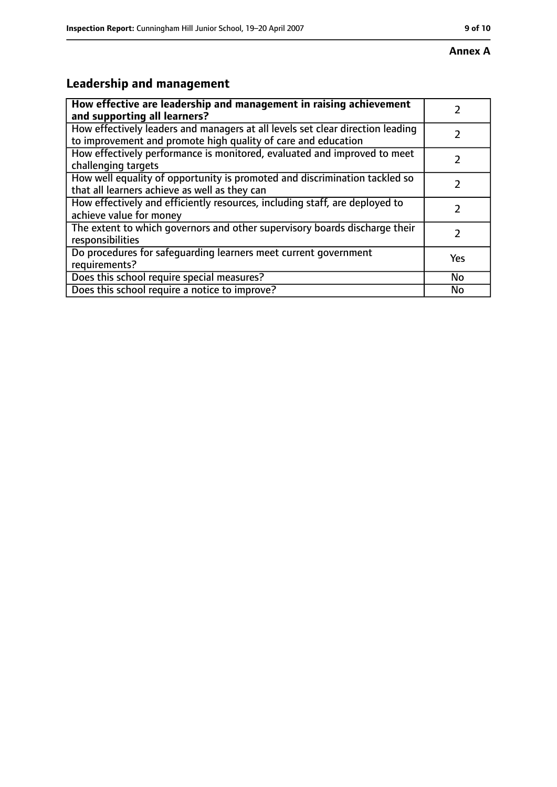# **Leadership and management**

| How effective are leadership and management in raising achievement<br>and supporting all learners?                                              |     |
|-------------------------------------------------------------------------------------------------------------------------------------------------|-----|
| How effectively leaders and managers at all levels set clear direction leading<br>to improvement and promote high quality of care and education |     |
| How effectively performance is monitored, evaluated and improved to meet<br>challenging targets                                                 |     |
| How well equality of opportunity is promoted and discrimination tackled so<br>that all learners achieve as well as they can                     |     |
| How effectively and efficiently resources, including staff, are deployed to<br>achieve value for money                                          | 2   |
| The extent to which governors and other supervisory boards discharge their<br>responsibilities                                                  | 2   |
| Do procedures for safequarding learners meet current government<br>requirements?                                                                | Yes |
| Does this school require special measures?                                                                                                      | No  |
| Does this school require a notice to improve?                                                                                                   | No  |